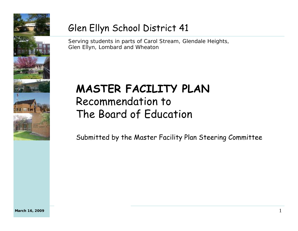

### Glen Ellyn School District 41

Serving students in parts of Carol Stream, Glendale Heights, Glen Ellyn, Lombard and Wheaton

## **MASTER FACILITY PLAN**  Recommendation to The Board of Education

Submitted by the Master Facility Plan Steering Committee

1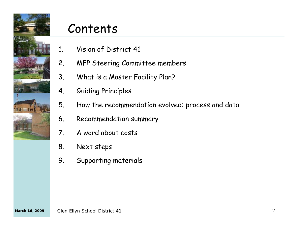

## Contents

- 1. Vision of District 41
- 2. MFP Steering Committee members
- 3. What is a Master Facility Plan?
- 4. Guiding Principles
- 5. How the recommendation evolved: process and data
- 6. Recommendation summary
- 7. A word about costs
- 8. Next steps
- 9. Supporting materials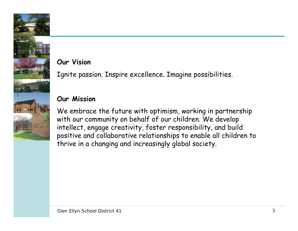#### **Our Vision**

Ignite passion. Inspire excellence. Imagine possibilities.

#### **Our Mission**

We embrace the future with optimism, working in partnership with our community on behalf of our children. We develop intellect, engage creativity, foster responsibility, and build positive and collaborative relationships to enable all children to thrive in a changing and increasingly global society.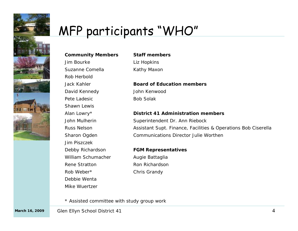

# MFP participants "WHO"

#### **Community Members**

Jim Bourke

Rob HerboldJack Kahler

Pete LadesicShawn Lewis

Alan Lowry\* John Mulherin

Russ Nelson

Sharon Ogden Jim Piszczek

Rene Stratton

Debbie WentaMike Wuertzer

Rob Weber\*

Debby Richardson William Schumacher

Suzanne Comella

David Kennedy

#### **Staff members**

Liz Hopkins Kathy Maxon

#### **Board of Education members**

John KenwoodBob Solak

#### **District 41 Administration members**

Superintendent Dr. Ann Riebock Assistant Supt. Finance, Facilities & Operations Bob Ciserella Communications Director Julie Worthen

#### **FGM Representatives**

Augie Battaglia Ron RichardsonChris Grandy

\* Assisted committee with study group work

March 16, 2009 Glen Ellyn School District 41 **Analysis Communist Communist Communist Communist Communist Communist Communist Communist Communist Communist Communist Communist Communist Communist Communist Communist Communi**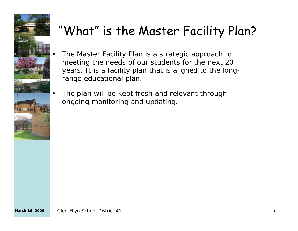

# "What" is the Master Facility Plan?

- The Master Facility Plan is a *strategic approach* to meeting the needs of our students for the next 20 years. It is a facility plan that is aligned to the longrange educational plan.
- The plan will be kept fresh and relevant through ongoing monitoring and updating.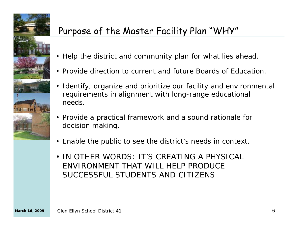

### Purpose of the Master Facility Plan "WHY"

- Help the district and community plan for what lies ahead.
- Provide direction to current and future Boards of Education.
- Identify, organize and prioritize our facility and environmental requirements in alignment with long-range educational needs.
- Provide a practical framework and a sound rationale for decision making.
- Enable the public to see the district's needs in context.
- IN OTHER WORDS: IT'S CREATING A PHYSICAL ENVIRONMENT THAT WILL HELP PRODUCE SUCCESSFUL STUDENTS AND CITIZENS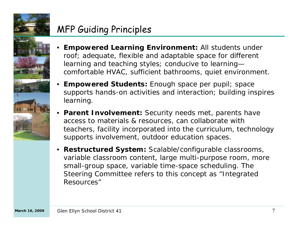

### MFP Guiding Principles



- • **Empowered Learning Environment:** All students under roof; adequate, flexible and adaptable space for different learning and teaching styles; conducive to learning comfortable HVAC, sufficient bathrooms, quiet environment.
- •**Empowered Students:** Enough space per pupil; space supports hands-on activities and interaction; building inspires learning.
- • **Parent Involvement:** Security needs met, parents have access to materials & resources, can collaborate with teachers, facility incorporated into the curriculum, technology supports involvement, outdoor education spaces.
- **Restructured System:** Scalable/configurable classrooms, variable classroom content, large multi-purpose room, more small-group space, variable time-space scheduling. The Steering Committee refers to this concept as "Integrated Resources"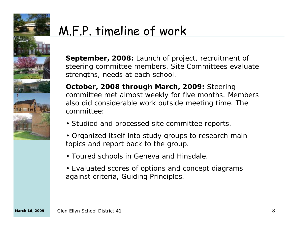

# M.F.P. timeline of work

**September, 2008:** Launch of project, recruitment of steering committee members. Site Committees evaluate strengths, needs at each school.

**October, 2008 through March, 2009:** Steering committee met almost weekly for five months. Members also did considerable work outside meeting time. The committee:

- Studied and processed site committee reports.
- Organized itself into study groups to research main topics and report back to the group.
- Toured schools in Geneva and Hinsdale.
- Evaluated scores of options and concept diagrams against criteria, Guiding Principles.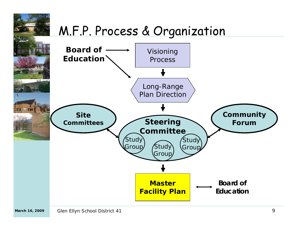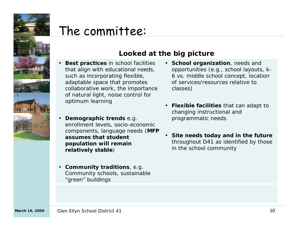

## The committee:

#### **Looked at the big picture**

- • **Best practices** *in school facilities that align with educational needs, such as incorporating flexible, adaptable space that promotes collaborative work, the importance of natural light, noise control for optimum learning*
- • **Demographic trends** *e.g. enrollment levels, socio-economic components, language needs (MFP assumes that student population will remain relatively stable)*
- **Community traditions**, *e.g. Community schools, sustainable "green" buildings*
- **School organization**, *needs and opportunities (e.g., school layouts, k-6 vs. middle school concept, location of services/resources relative to classes)*
- **Flexible facilities** *that can adapt to changing instructional and programmatic needs*
- **Site needs today and in the future** *throughout D41 as identified by those in the school community*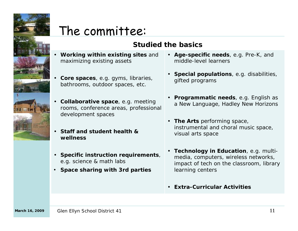

•

•

•

## The committee:

#### **Studied the basics**

- **Working within existing sites** *and maximizing existing assets*
- **Core spaces**, *e.g. gyms, libraries, bathrooms, outdoor spaces, etc.*
- **Collaborative space**, *e.g. meeting rooms, conference areas, professional development spaces*
- **Staff and student health & wellness**
- **Specific instruction requirements**, *e.g. science & math labs*
- •*Space sharing with 3rd parties*
- **Age-specific needs**, *e.g. Pre-K, and middle-level learners*
- **Special populations**, *e.g. disabilities, gifted programs*
- **Programmatic needs**, *e.g. English as a New Language, Hadley New Horizons*
- **The Arts** *performing space, instrumental and choral music space, visual arts space*
- **Technology in Education**, *e.g. multimedia, computers, wireless networks, impact of tech on the classroom, library learning centers*
- **Extra-Curricular Activities**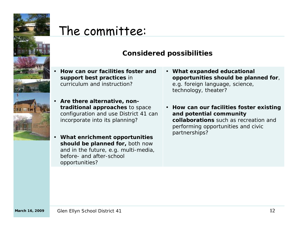

•

### The committee:

#### **Considered possibilities**

- **How can our facilities foster and support best practices** *in curriculum and instruction?*
- • **Are there alternative, nontraditional approaches** *to space configuration and use District 41 can incorporate into its planning?*
- • **What enrichment opportunities should be planned for,** *both now and in the future, e.g. multi-media, before- and after-school opportunities?*
- **What expanded educational opportunities should be planned for**, *e.g. foreign language, science, technology, theater?*
- **How can our facilities foster existing and potential community collaborations** such as recreation and performing opportunities and civic partnerships?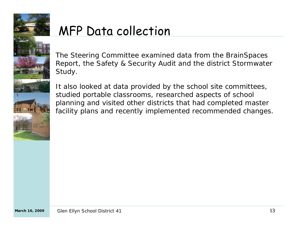

# MFP Data collection

The Steering Committee examined data from the BrainSpaces Report, the Safety & Security Audit and the district Stormwater Study.

It also looked at data provided by the school site committees, studied portable classrooms, researched aspects of school planning and visited other districts that had completed master facility plans and recently implemented recommended changes.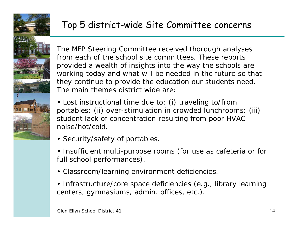

### Top 5 district-wide Site Committee concerns

The MFP Steering Committee received thorough analyses from each of the school site committees. These reports provided a wealth of insights into the way the schools are working today and what will be needed in the future so that they continue to provide the education our students need. The main themes district wide are:

• Lost instructional time due to: (i) traveling to/from portables; (ii) over-stimulation in crowded lunchrooms; (iii) student lack of concentration resulting from poor HVACnoise/hot/cold.

- Security/safety of portables.
- Insufficient multi-purpose rooms (for use as cafeteria or for full school performances).
- Classroom/learning environment deficiencies.
- Infrastructure/core space deficiencies (e.g., library learning centers, gymnasiums, admin. offices, etc.).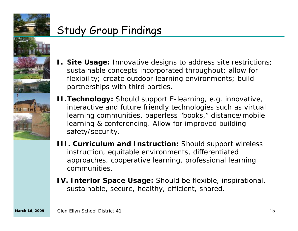

### Study Group Findings



- **I. Site Usage:** Innovative designs to address site restrictions; sustainable concepts incorporated throughout; allow for flexibility; create outdoor learning environments; build partnerships with third parties.
- **II.Technology:** Should support E-learning, e.g. innovative, interactive and future friendly technologies such as virtual learning communities, paperless "books," distance/mobile learning & conferencing. Allow for improved building safety/security.
- **III. Curriculum and Instruction:** Should support wireless instruction, equitable environments, differentiated approaches, cooperative learning, professional learning communities.
- **IV. Interior Space Usage:** Should be flexible, inspirational, sustainable, secure, healthy, efficient, shared.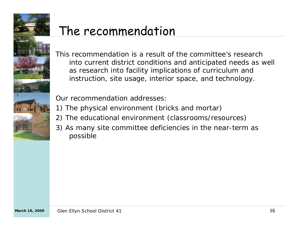

# The recommendation

This recommendation is a result of the committee's research into current district conditions and anticipated needs as well as research into facility implications of curriculum and instruction, site usage, interior space, and technology.

Our recommendation addresses:

- 1) The physical environment (bricks and mortar)
- 2) The educational environment (classrooms/resources)
- 3) As many site committee deficiencies in the near-term as possible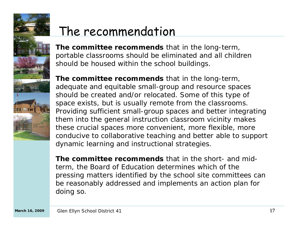

# The recommendation

**The committee recommends** that in the long-term, portable classrooms should be eliminated and all children should be housed within the school buildings.

**The committee recommends** that in the long-term, adequate and equitable small-group and resource spaces should be created and/or relocated. Some of this type of space exists, but is usually remote from the classrooms. Providing sufficient small-group spaces and better integrating them into the general instruction classroom vicinity makes these crucial spaces more convenient, more flexible, more conducive to collaborative teaching and better able to support dynamic learning and instructional strategies.

**The committee recommends** that in the short- and midterm, the Board of Education determines which of the pressing matters identified by the school site committees can be reasonably addressed and implements an action plan for doing so.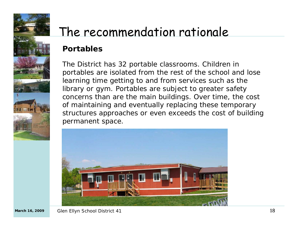

# The recommendation rationale

### *Portables*

The District has 32 portable classrooms. Children in portables are isolated from the rest of the school and lose learning time getting to and from services such as the library or gym. Portables are subject to greater safety concerns than are the main buildings. Over time, the cost of maintaining and eventually replacing these temporary structures approaches or even exceeds the cost of building permanent space.

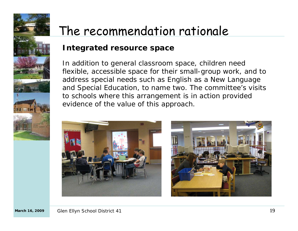

# The recommendation rationale

#### *Integrated resource space*

In addition to general classroom space, children need flexible, accessible space for their small-group work, and to address special needs such as English as a New Language and Special Education, to name two. The committee's visits to schools where this arrangement is in action provided evidence of the value of this approach.



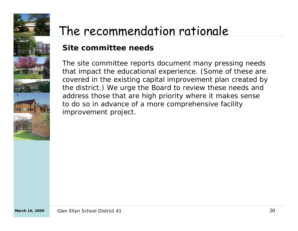

# The recommendation rationale

#### *Site committee needs*

The site committee reports document many pressing needs that impact the educational experience. (Some of these are covered in the existing capital improvement plan created by the district.) We urge the Board to review these needs and address those that are high priority where it makes sense to do so in advance of a more comprehensive facility improvement project.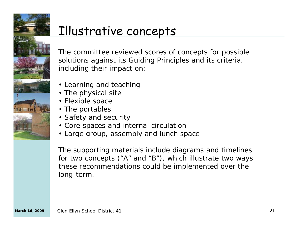

# Illustrative concepts

The committee reviewed scores of concepts for possible solutions against its Guiding Principles and its criteria, including their impact on:

- Learning and teaching
- The physical site
- Flexible space
- The portables
- Safety and security
- Core spaces and internal circulation
- Large group, assembly and lunch space

The supporting materials include diagrams and timelines for two concepts ("A" and "B"), which illustrate two ways these recommendations could be implemented over the long-term.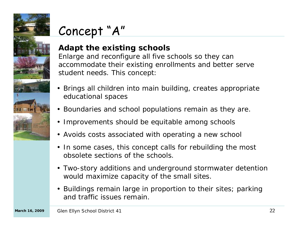

# Concept "A"

#### *Adapt the existing schools*

Enlarge and reconfigure all five schools so they can accommodate their existing enrollments and better serve student needs. This concept:

- Brings all children into main building, creates appropriate educational spaces
- Boundaries and school populations remain as they are.
- Improvements should be equitable among schools
- Avoids costs associated with operating a new school
- In some cases, this concept calls for rebuilding the most obsolete sections of the schools.
- Two-story additions and underground stormwater detention would maximize capacity of the small sites.
- Buildings remain large in proportion to their sites; parking and traffic issues remain.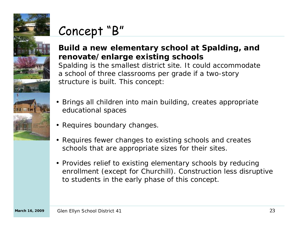

## Concept "B"

#### *Build a new elementary school at Spalding, and renovate/enlarge existing schools*

Spalding is the smallest district site. It could accommodate a school of three classrooms per grade if a two-story structure is built. This concept:

- • Brings all children into main building, creates appropriate educational spaces
- Requires boundary changes.
- • Requires fewer changes to existing schools and creates schools that are appropriate sizes for their sites.
- Provides relief to existing elementary schools by reducing enrollment (except for Churchill). Construction less disruptive to students in the early phase of this concept.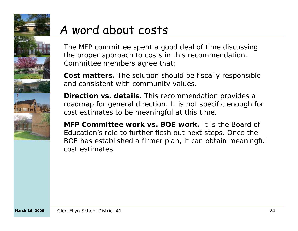

# A word about costs

The MFP committee spent a good deal of time discussing the proper approach to costs in this recommendation. Committee members agree that:

**Cost matters.** The solution should be fiscally responsible and consistent with community values.

**Direction vs. details.** This recommendation provides a roadmap for general direction. It is not specific enough for cost estimates to be meaningful at this time.

**MFP Committee work vs. BOE work.** It is the Board of Education's role to further flesh out next steps. Once the BOE has established a firmer plan, it can obtain meaningful cost estimates.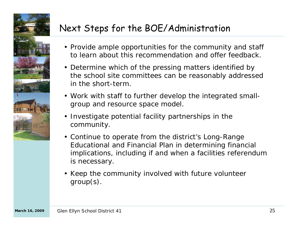

### Next Steps for the BOE/Administration

- Provide ample opportunities for the community and staff to learn about this recommendation and offer feedback.
- Determine which of the pressing matters identified by the school site committees can be reasonably addressed in the short-term.
- Work with staff to further develop the integrated smallgroup and resource space model.
- Investigate potential facility partnerships in the community.
- Continue to operate from the district's Long-Range Educational and Financial Plan in determining financial implications, including if and when a facilities referendum is necessary.
- Keep the community involved with future volunteer group(s).